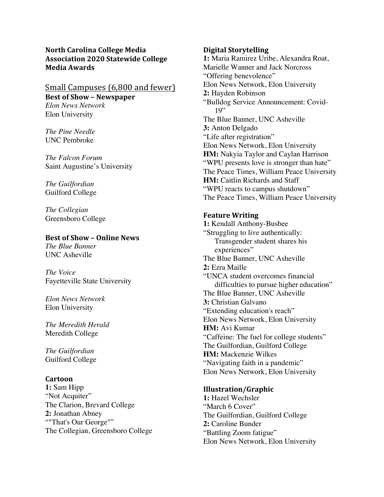**North Carolina College Media Association 2020 Statewide College Media Awards**

### Small Campuses (6,800 and fewer) **Best of Show - Newspaper** *Elon News Network*

Elon University

*The Pine Needle* UNC Pembroke

*The Falcon Forum* Saint Augustine's University

*The Guilfordian* Guilford College

*The Collegian* Greensboro College

## **Best of Show – Online News**

*The Blue Banner* UNC Asheville

*The Voice* Fayetteville State University

*Elon News Network* Elon University

*The Meredith Herald* Meredith College

*The Guilfordian* Guilford College

## **Cartoon**

**1:** Sam Hipp "Not Acquiter" The Clarion, Brevard College **2:** Jonathan Abney ""That's Our George"" The Collegian, Greensboro College

### **Digital Storytelling**

**1:** Maria Ramirez Uribe, Alexandra Roat, Marielle Wanner and Jack Norcross "Offering benevolence" Elon News Network, Elon University **2:** Hayden Robinson "Bulldog Service Announcement: Covid-19" The Blue Banner, UNC Asheville **3:** Anton Delgado "Life after registration" Elon News Network, Elon University **HM:** Nakyia Taylor and Caylan Harrison "WPU presents love is stronger than hate" The Peace Times, William Peace University **HM:** Caitlin Richards and Staff "WPU reacts to campus shutdown" The Peace Times, William Peace University

## **Feature Writing**

**1:** Kendall Anthony-Busbee "Struggling to live authentically: Transgender student shares his experiences" The Blue Banner, UNC Asheville **2:** Ezra Maille "UNCA student overcomes financial difficulties to pursue higher education" The Blue Banner, UNC Asheville **3:** Christian Galvano "Extending education's reach" Elon News Network, Elon University **HM:** Avi Kumar "Caffeine: The fuel for college students" The Guilfordian, Guilford College **HM:** Mackenzie Wilkes "Navigating faith in a pandemic" Elon News Network, Elon University

## **Illustration/Graphic**

**1:** Hazel Wechsler "March 6 Cover" The Guilfordian, Guilford College **2:** Caroline Bunder "Battling Zoom fatigue" Elon News Network, Elon University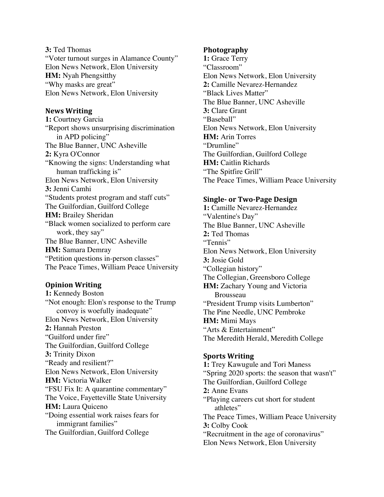**3:** Ted Thomas "Voter turnout surges in Alamance County" Elon News Network, Elon University **HM:** Nyah Phengsitthy "Why masks are great" Elon News Network, Elon University

### **News Writing**

**1:** Courtney Garcia "Report shows unsurprising discrimination in APD policing" The Blue Banner, UNC Asheville **2:** Kyra O'Connor "Knowing the signs: Understanding what human trafficking is" Elon News Network, Elon University **3:** Jenni Camhi "Students protest program and staff cuts" The Guilfordian, Guilford College **HM:** Brailey Sheridan "Black women socialized to perform care work, they say" The Blue Banner, UNC Asheville **HM:** Samara Demray "Petition questions in-person classes" The Peace Times, William Peace University

## **Opinion Writing**

**1:** Kennedy Boston "Not enough: Elon's response to the Trump convoy is woefully inadequate" Elon News Network, Elon University **2:** Hannah Preston "Guilford under fire" The Guilfordian, Guilford College **3:** Trinity Dixon "Ready and resilient?" Elon News Network, Elon University **HM:** Victoria Walker "FSU Fix It: A quarantine commentary" The Voice, Fayetteville State University **HM:** Laura Quiceno "Doing essential work raises fears for immigrant families" The Guilfordian, Guilford College

### **Photography**

**1:** Grace Terry "Classroom" Elon News Network, Elon University **2:** Camille Nevarez-Hernandez "Black Lives Matter" The Blue Banner, UNC Asheville **3:** Clare Grant "Baseball" Elon News Network, Elon University **HM:** Arin Torres "Drumline" The Guilfordian, Guilford College **HM:** Caitlin Richards "The Spitfire Grill" The Peace Times, William Peace University

#### **Single- or Two-Page Design**

**1:** Camille Nevarez-Hernandez "Valentine's Day" The Blue Banner, UNC Asheville **2:** Ted Thomas "Tennis" Elon News Network, Elon University **3:** Josie Gold "Collegian history" The Collegian, Greensboro College **HM:** Zachary Young and Victoria Brousseau "President Trump visits Lumberton" The Pine Needle, UNC Pembroke **HM:** Mimi Mays "Arts & Entertainment" The Meredith Herald, Meredith College

## **Sports Writing**

**1:** Trey Kawugule and Tori Maness "Spring 2020 sports: the season that wasn't" The Guilfordian, Guilford College **2:** Anne Evans "Playing careers cut short for student athletes" The Peace Times, William Peace University **3:** Colby Cook "Recruitment in the age of coronavirus" Elon News Network, Elon University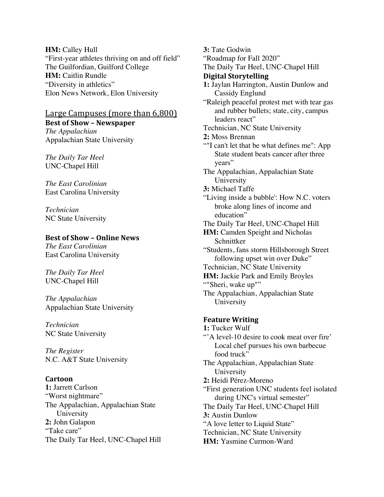**HM:** Calley Hull "First-year athletes thriving on and off field" The Guilfordian, Guilford College **HM:** Caitlin Rundle "Diversity in athletics" Elon News Network, Elon University

# Large Campuses (more than 6,800)

**Best of Show – Newspaper** *The Appalachian* Appalachian State University

*The Daily Tar Heel* UNC-Chapel Hill

*The East Carolinian* East Carolina University

*Technician* NC State University

## **Best of Show – Online News**

*The East Carolinian* East Carolina University

*The Daily Tar Heel* UNC-Chapel Hill

*The Appalachian* Appalachian State University

*Technician* NC State University

*The Register* N.C. A&T State University

## **Cartoon**

**1:** Jarrett Carlson "Worst nightmare" The Appalachian, Appalachian State University **2:** John Galapon "Take care" The Daily Tar Heel, UNC-Chapel Hill **3:** Tate Godwin "Roadmap for Fall 2020" The Daily Tar Heel, UNC-Chapel Hill **Digital Storytelling 1:** Jaylan Harrington, Austin Dunlow and Cassidy Englund "Raleigh peaceful protest met with tear gas and rubber bullets; state, city, campus leaders react" Technician, NC State University **2:** Moss Brennan ""I can't let that be what defines me": App State student beats cancer after three years" The Appalachian, Appalachian State University **3:** Michael Taffe "Living inside a bubble': How N.C. voters broke along lines of income and education" The Daily Tar Heel, UNC-Chapel Hill **HM:** Camden Speight and Nicholas **Schnittker** "Students, fans storm Hillsborough Street following upset win over Duke" Technician, NC State University **HM:** Jackie Park and Emily Broyles ""Sheri, wake up"" The Appalachian, Appalachian State University **Feature Writing 1:** Tucker Wulf "A level-10 desire to cook meat over fire" Local chef pursues his own barbecue food truck" The Appalachian, Appalachian State University **2:** Heidi Pérez-Moreno "First generation UNC students feel isolated during UNC's virtual semester" The Daily Tar Heel, UNC-Chapel Hill **3:** Austin Dunlow

"A love letter to Liquid State"

Technician, NC State University

**HM:** Yasmine Curmon-Ward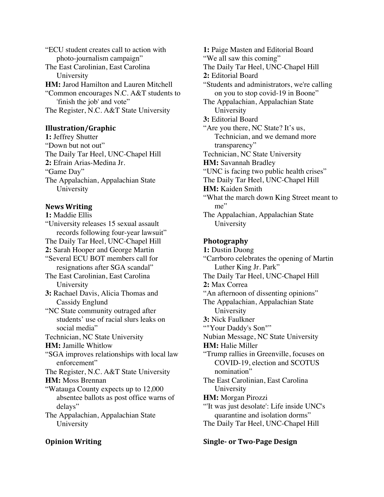"ECU student creates call to action with photo-journalism campaign" The East Carolinian, East Carolina University **HM:** Jarod Hamilton and Lauren Mitchell "Common encourages N.C. A&T students to 'finish the job' and vote" The Register, N.C. A&T State University

### **Illustration/Graphic**

**1:** Jeffrey Shutter "Down but not out" The Daily Tar Heel, UNC-Chapel Hill **2:** Efrain Arias-Medina Jr. "Game Day" The Appalachian, Appalachian State University

### **News Writing**

**1:** Maddie Ellis

"University releases 15 sexual assault records following four-year lawsuit" The Daily Tar Heel, UNC-Chapel Hill **2:** Sarah Hooper and George Martin "Several ECU BOT members call for resignations after SGA scandal" The East Carolinian, East Carolina University **3:** Rachael Davis, Alicia Thomas and Cassidy Englund "NC State community outraged after students' use of racial slurs leaks on social media" Technician, NC State University **HM:** Jamille Whitlow "SGA improves relationships with local law enforcement" The Register, N.C. A&T State University **HM:** Moss Brennan "Watauga County expects up to 12,000 absentee ballots as post office warns of delays" The Appalachian, Appalachian State University

#### **Opinion Writing**

**1:** Paige Masten and Editorial Board "We all saw this coming" The Daily Tar Heel, UNC-Chapel Hill **2:** Editorial Board "Students and administrators, we're calling on you to stop covid-19 in Boone" The Appalachian, Appalachian State University **3:** Editorial Board "Are you there, NC State? It's us, Technician, and we demand more transparency" Technician, NC State University **HM:** Savannah Bradley "UNC is facing two public health crises" The Daily Tar Heel, UNC-Chapel Hill **HM:** Kaiden Smith "What the march down King Street meant to me" The Appalachian, Appalachian State University **Photography**

**1:** Dustin Duong "Carrboro celebrates the opening of Martin Luther King Jr. Park" The Daily Tar Heel, UNC-Chapel Hill **2:** Max Correa "An afternoon of dissenting opinions" The Appalachian, Appalachian State University **3:** Nick Faulkner ""Your Daddy's Son"" Nubian Message, NC State University **HM:** Halie Miller "Trump rallies in Greenville, focuses on COVID-19, election and SCOTUS nomination" The East Carolinian, East Carolina University **HM:** Morgan Pirozzi "'It was just desolate': Life inside UNC's quarantine and isolation dorms" The Daily Tar Heel, UNC-Chapel Hill

### **Single- or Two-Page Design**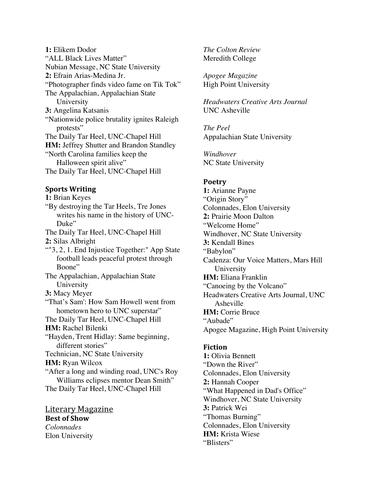**1:** Elikem Dodor "ALL Black Lives Matter" Nubian Message, NC State University **2:** Efrain Arias-Medina Jr. "Photographer finds video fame on Tik Tok" The Appalachian, Appalachian State University **3:** Angelina Katsanis "Nationwide police brutality ignites Raleigh protests" The Daily Tar Heel, UNC-Chapel Hill **HM:** Jeffrey Shutter and Brandon Standley "North Carolina families keep the Halloween spirit alive" The Daily Tar Heel, UNC-Chapel Hill

### **Sports Writing**

**1:** Brian Keyes "By destroying the Tar Heels, Tre Jones writes his name in the history of UNC-Duke" The Daily Tar Heel, UNC-Chapel Hill **2:** Silas Albright ""3, 2, 1. End Injustice Together:" App State football leads peaceful protest through Boone" The Appalachian, Appalachian State University **3:** Macy Meyer "That's Sam': How Sam Howell went from hometown hero to UNC superstar" The Daily Tar Heel, UNC-Chapel Hill **HM:** Rachel Bilenki "Hayden, Trent Hidlay: Same beginning, different stories" Technician, NC State University **HM:** Ryan Wilcox "After a long and winding road, UNC's Roy Williams eclipses mentor Dean Smith" The Daily Tar Heel, UNC-Chapel Hill

Literary Magazine **Best of Show** *Colonnades* Elon University

*The Colton Review* Meredith College

*Apogee Magazine* High Point University

*Headwaters Creative Arts Journal* UNC Asheville

*The Peel* Appalachian State University

*Windhover* NC State University

#### **Poetry**

**1:** Arianne Payne "Origin Story" Colonnades, Elon University **2:** Prairie Moon Dalton "Welcome Home" Windhover, NC State University **3:** Kendall Bines "Babylon" Cadenza: Our Voice Matters, Mars Hill University **HM:** Eliana Franklin "Canoeing by the Volcano" Headwaters Creative Arts Journal, UNC Asheville **HM:** Corrie Bruce "Aubade" Apogee Magazine, High Point University

#### **Fiction**

**1:** Olivia Bennett "Down the River" Colonnades, Elon University **2:** Hannah Cooper "What Happened in Dad's Office" Windhover, NC State University **3:** Patrick Wei "Thomas Burning" Colonnades, Elon University **HM:** Krista Wiese "Blisters"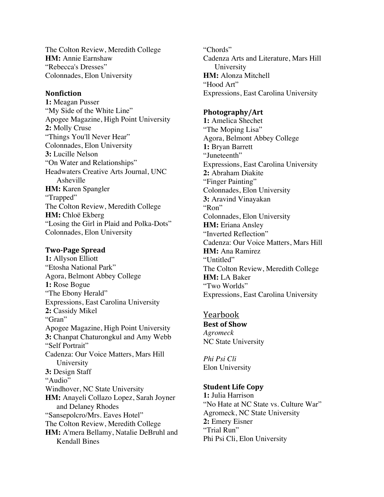The Colton Review, Meredith College **HM:** Annie Earnshaw "Rebecca's Dresses" Colonnades, Elon University

#### **Nonfiction**

**1:** Meagan Pusser "My Side of the White Line" Apogee Magazine, High Point University **2:** Molly Cruse "Things You'll Never Hear" Colonnades, Elon University **3:** Lucille Nelson "On Water and Relationships" Headwaters Creative Arts Journal, UNC Asheville **HM:** Karen Spangler "Trapped" The Colton Review, Meredith College **HM:** Chloë Ekberg "Losing the Girl in Plaid and Polka-Dots" Colonnades, Elon University

#### **Two-Page Spread**

**1:** Allyson Elliott "Etosha National Park" Agora, Belmont Abbey College **1:** Rose Bogue "The Ebony Herald" Expressions, East Carolina University **2:** Cassidy Mikel "Gran" Apogee Magazine, High Point University **3:** Chanpat Chaturongkul and Amy Webb "Self Portrait" Cadenza: Our Voice Matters, Mars Hill University **3:** Design Staff "Audio" Windhover, NC State University **HM:** Anayeli Collazo Lopez, Sarah Joyner and Delaney Rhodes "Sansepolcro/Mrs. Eaves Hotel" The Colton Review, Meredith College **HM:** A'mera Bellamy, Natalie DeBruhl and Kendall Bines

"Chords" Cadenza Arts and Literature, Mars Hill University **HM:** Alonza Mitchell "Hood Art" Expressions, East Carolina University

### **Photography/Art**

**1:** Amelica Shechet "The Moping Lisa" Agora, Belmont Abbey College **1:** Bryan Barrett "Juneteenth" Expressions, East Carolina University **2:** Abraham Diakite "Finger Painting" Colonnades, Elon University **3:** Aravind Vinayakan "Ron" Colonnades, Elon University **HM:** Eriana Ansley "Inverted Reflection" Cadenza: Our Voice Matters, Mars Hill **HM:** Ana Ramirez "Untitled" The Colton Review, Meredith College **HM:** LA Baker "Two Worlds" Expressions, East Carolina University

Yearbook **Best of Show** *Agromeck* NC State University

*Phi Psi Cli* Elon University

### **Student Life Copy**

**1:** Julia Harrison "No Hate at NC State vs. Culture War" Agromeck, NC State University **2:** Emery Eisner "Trial Run" Phi Psi Cli, Elon University